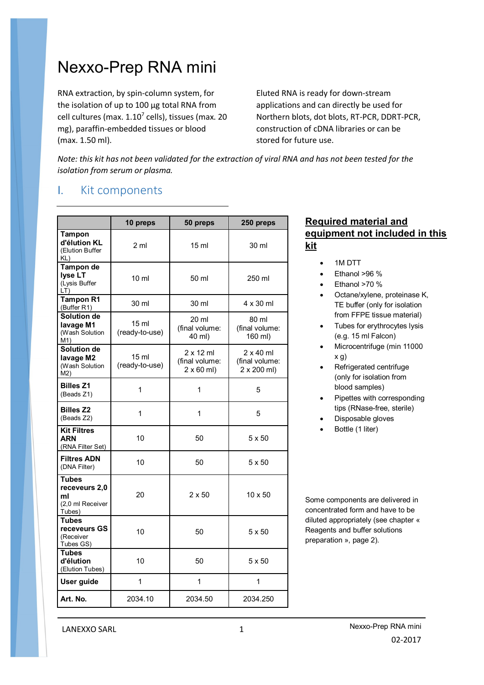# Nexxo-Prep RNA mini

RNA extraction, by spin-column system, for the isolation of up to 100 µg total RNA from cell cultures (max. 1.10<sup>7</sup> cells), tissues (max. 20 mg), paraffin-embedded tissues or blood (max. 1.50 ml).

Eluted RNA is ready for down-stream applications and can directly be used for Northern blots, dot blots, RT-PCR, DDRT-PCR, construction of cDNA libraries or can be stored for future use.

*Note: this kit has not been validated for the extraction of viral RNA and has not been tested for the isolation from serum or plasma.*

### I. Kit components

|                                                                   | 10 preps                           | 50 preps                                                | 250 preps                                         |
|-------------------------------------------------------------------|------------------------------------|---------------------------------------------------------|---------------------------------------------------|
| Tampon<br>d'élution KL<br>(Elution Buffer<br>KL)                  | 2 <sub>m</sub>                     | 15 ml                                                   | 30 ml                                             |
| Tampon de<br>lyse LT<br>(Lysis Buffer<br>LT)                      | $10 \mathrm{m}$                    | 50 ml                                                   | 250 ml                                            |
| <b>Tampon R1</b><br>(Buffer R1)                                   | 30 ml                              | 30 ml                                                   | $4 \times 30$ ml                                  |
| <b>Solution de</b><br>lavage M1<br>(Wash Solution<br>M1)          | 15 ml<br>(ready-to-use)            | 20 ml<br>(final volume:<br>40 ml)                       | 80 ml<br>(final volume:<br>160 ml)                |
| <b>Solution de</b><br>lavage M2<br>(Wash Solution<br>M2)          | 15 <sub>ml</sub><br>(ready-to-use) | $2 \times 12$ ml<br>(final volume:<br>$2 \times 60$ ml) | $2 \times 40$ ml<br>(final volume:<br>2 x 200 ml) |
| <b>Billes Z1</b><br>(Beads Z1)                                    | 1                                  | 1                                                       | 5                                                 |
| <b>Billes Z2</b><br>(Beads Z2)                                    | 1                                  | 1                                                       | 5                                                 |
| <b>Kit Filtres</b><br><b>ARN</b><br>(RNA Filter Set)              | 10                                 | 50                                                      | 5 x 50                                            |
| <b>Filtres ADN</b><br>(DNA Filter)                                | 10                                 | 50                                                      | 5 x 50                                            |
| <b>Tubes</b><br>receveurs 2,0<br>ml<br>(2,0 ml Receiver<br>Tubes) | 20                                 | $2 \times 50$                                           | $10 \times 50$                                    |
| Tubes<br>receveurs GS<br>(Receiver<br>Tubes GS)                   | 10                                 | 50                                                      | 5 x 50                                            |
| <b>Tubes</b><br>d'élution<br>(Elution Tubes)                      | 10                                 | 50                                                      | 5 x 50                                            |
| User guide                                                        | 1                                  | $\mathbf{1}$                                            | 1                                                 |
| Art. No.                                                          | 2034.10                            | 2034.50                                                 | 2034.250                                          |

### **Required material and equipment not included in this kit**

- 1M DTT
- Ethanol >96 %
- Ethanol >70 %
- Octane/xylene, proteinase K, TE buffer (only for isolation from FFPE tissue material)
- Tubes for erythrocytes lysis (e.g. 15 ml Falcon)
- Microcentrifuge (min 11000 x g)
- Refrigerated centrifuge (only for isolation from blood samples)
- Pipettes with corresponding tips (RNase-free, sterile)
- Disposable gloves
- Bottle (1 liter)

Some components are delivered in concentrated form and have to be diluted appropriately (see chapter « Reagents and buffer solutions preparation », page 2).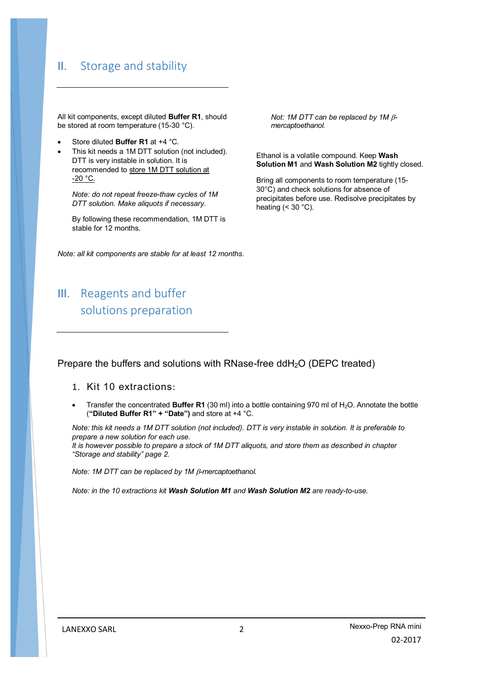## II. Storage and stability

All kit components, except diluted **Buffer R1**, should be stored at room temperature (15-30 °C).

- Store diluted **Buffer R1** at +4 °C.
- This kit needs a 1M DTT solution (not included). DTT is very instable in solution. It is recommended to store 1M DTT solution at  $-20$  °C.

*Note: do not repeat freeze-thaw cycles of 1M DTT solution. Make aliquots if necessary.*

By following these recommendation, 1M DTT is stable for 12 months.

*Note: all kit components are stable for at least 12 months.*

III. Reagents and buffer solutions preparation

*Not: 1M DTT can be replaced by 1M mercaptoethanol.*

Ethanol is a volatile compound. Keep **Wash Solution M1** and **Wash Solution M2** tightly closed.

Bring all components to room temperature (15- 30°C) and check solutions for absence of precipitates before use. Redisolve precipitates by heating  $(< 30 °C)$ .

Prepare the buffers and solutions with RNase-free ddH<sub>2</sub>O (DEPC treated)

- 1. Kit 10 extractions:
- Transfer the concentrated **Buffer R1** (30 ml) into a bottle containing 970 ml of H<sub>2</sub>O. Annotate the bottle (**"Diluted Buffer R1" + "Date")** and store at +4 °C.

*Note: this kit needs a 1M DTT solution (not included). DTT is very instable in solution. It is preferable to prepare a new solution for each use.*

*It is however possible to prepare a stock of 1M DTT aliquots, and store them as described in chapter "Storage and stability" page 2.*

*Note: 1M DTT can be replaced by 1M -mercaptoethanol.* 

*Note: in the 10 extractions kit Wash Solution M1 and Wash Solution M2 are ready-to-use.*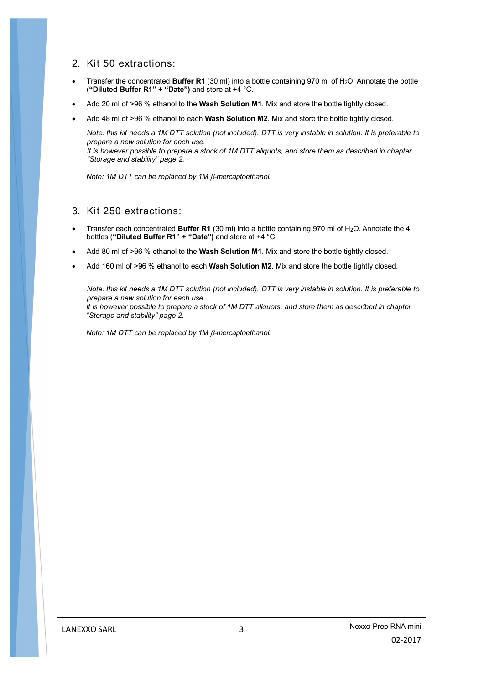### 2. Kit 50 extractions:

- Transfer the concentrated **Buffer R1** (30 ml) into a bottle containing 970 ml of H<sub>2</sub>O. Annotate the bottle (**"Diluted Buffer R1" + "Date")** and store at +4 °C.
- Add 20 ml of >96 % ethanol to the **Wash Solution M1**. Mix and store the bottle tightly closed.
- Add 48 ml of >96 % ethanol to each **Wash Solution M2**. Mix and store the bottle tightly closed.

*Note: this kit needs a 1M DTT solution (not included). DTT is very instable in solution. It is preferable to prepare a new solution for each use.*

*It is however possible to prepare a stock of 1M DTT aliquots, and store them as described in chapter "Storage and stability" page 2.*

*Note: 1M DTT can be replaced by 1M β-mercaptoethanol.* 

### 3. Kit 250 extractions:

- Transfer each concentrated **Buffer R1** (30 ml) into a bottle containing 970 ml of H<sub>2</sub>O. Annotate the 4 bottles (**"Diluted Buffer R1" + "Date")** and store at +4 °C.
- Add 80 ml of >96 % ethanol to the **Wash Solution M1**. Mix and store the bottle tightly closed.
- Add 160 ml of >96 % ethanol to each **Wash Solution M2**. Mix and store the bottle tightly closed.

*Note: this kit needs a 1M DTT solution (not included). DTT is very instable in solution. It is preferable to prepare a new solution for each use. It is however possible to prepare a stock of 1M DTT aliquots, and store them as described in chapter "Storage and stability" page 2.*

*Note: 1M DTT can be replaced by 1M β-mercaptoethanol.*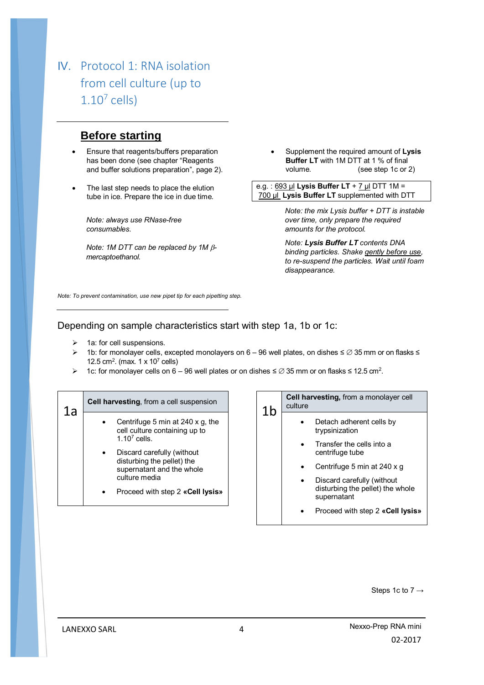# IV. Protocol 1: RNA isolation from cell culture (up to  $1.10<sup>7</sup>$  cells)

### **Before starting**

- Ensure that reagents/buffers preparation has been done (see chapter "Reagents and buffer solutions preparation", page 2).
- The last step needs to place the elution tube in ice. Prepare the ice in due time.

*Note: always use RNase-free consumables.*

*Note: 1M DTT can be replaced by 1M mercaptoethanol.*

 Supplement the required amount of **Lysis Buffer LT** with 1M DTT at 1 % of final volume. (see step 1c or 2)

e.g. : 693 µl **Lysis Buffer LT** + 7 µl DTT 1M = 700 µl **Lysis Buffer LT** supplemented with DTT

> *Note: the mix Lysis buffer + DTT is instable over time, only prepare the required amounts for the protocol.*

> *Note: Lysis Buffer LT contents DNA binding particles. Shake gently before use, to re-suspend the particles. Wait until foam disappearance.*

*Note: To prevent contamination, use new pipet tip for each pipetting step.*

### Depending on sample characteristics start with step 1a, 1b or 1c:

- $\triangleright$  1a: for cell suspensions.
- 1b: for monolayer cells, excepted monolayers on 6 96 well plates, on dishes ≤ 35 mm or on flasks ≤ 12.5 cm<sup>2</sup>. (max. 1 x 10<sup>7</sup> cells)
- $\triangleright$  1c: for monolayer cells on 6 96 well plates or on dishes ≤  $\emptyset$  35 mm or on flasks ≤ 12.5 cm<sup>2</sup>.

| 1a | Cell harvesting, from a cell suspension                                                                                                                                                                                           | 1b | <b>Cell harvesting, from a monolayer cell</b><br>culture                                                                                                                                                                                       |
|----|-----------------------------------------------------------------------------------------------------------------------------------------------------------------------------------------------------------------------------------|----|------------------------------------------------------------------------------------------------------------------------------------------------------------------------------------------------------------------------------------------------|
|    | Centrifuge 5 min at 240 x g, the<br>cell culture containing up to<br>$1.107$ cells.<br>Discard carefully (without<br>disturbing the pellet) the<br>supernatant and the whole<br>culture media<br>Proceed with step 2 «Cell lysis» |    | Detach adherent cells by<br>trypsinization<br>Transfer the cells into a<br>centrifuge tube<br>Centrifuge 5 min at 240 x g<br>Discard carefully (without<br>disturbing the pellet) the whole<br>supernatant<br>Proceed with step 2 «Cell Iysis» |
|    |                                                                                                                                                                                                                                   |    |                                                                                                                                                                                                                                                |

Steps 1c to 7 →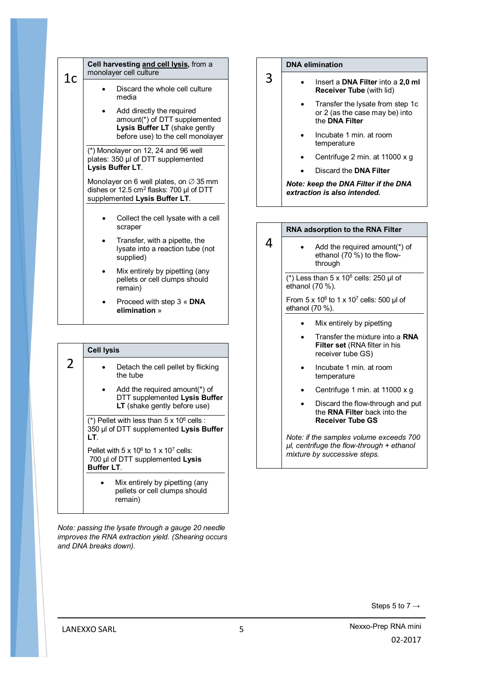| 1c | Cell harvesting and cell lysis, from a<br>monolayer cell culture                                                                            |  |
|----|---------------------------------------------------------------------------------------------------------------------------------------------|--|
|    | Discard the whole cell culture<br>media                                                                                                     |  |
|    | Add directly the required<br>amount(*) of DTT supplemented<br>Lysis Buffer LT (shake gently<br>before use) to the cell monolayer            |  |
|    | (*) Monolayer on 12, 24 and 96 well<br>plates: 350 µl of DTT supplemented<br>Lysis Buffer LT.                                               |  |
|    | Monolayer on 6 well plates, on $\varnothing$ 35 mm<br>dishes or 12.5 cm <sup>2</sup> flasks: 700 µl of DTT<br>supplemented Lysis Buffer LT. |  |
|    | Collect the cell lysate with a cell<br>scraper                                                                                              |  |
|    | Transfer, with a pipette, the<br>lysate into a reaction tube (not<br>supplied)                                                              |  |
|    | Mix entirely by pipetting (any<br>pellets or cell clumps should<br>remain)                                                                  |  |
|    | Proceed with step 3 « DNA<br>elimination »                                                                                                  |  |

|   | <b>Cell lysis</b>                                                                                         |  |
|---|-----------------------------------------------------------------------------------------------------------|--|
| 2 | Detach the cell pellet by flicking<br>the tube                                                            |  |
|   | Add the required amount(*) of<br>DTT supplemented Lysis Buffer<br>LT (shake gently before use)            |  |
|   | (*) Pellet with less than $5 \times 10^6$ cells :<br>350 µl of DTT supplemented Lysis Buffer<br>LT.       |  |
|   | Pellet with $5 \times 10^6$ to 1 x $10^7$ cells:<br>700 µl of DTT supplemented Lysis<br><b>Buffer LT.</b> |  |
|   | Mix entirely by pipetting (any<br>pellets or cell clumps should<br>remain)                                |  |

*Note: passing the lysate through a gauge 20 needle improves the RNA extraction yield. (Shearing occurs and DNA breaks down).*

#### **DNA elimination**

3

- Insert a **DNA Filter** into a **2,0 ml Receiver Tube** (with lid)
	- Transfer the lysate from step 1c or 2 (as the case may be) into the **DNA Filter**
	- Incubate 1 min. at room temperature
	- Centrifuge 2 min. at 11000 x g
	- Discard the **DNA Filter**

*Note: keep the DNA Filter if the DNA extraction is also intended.*

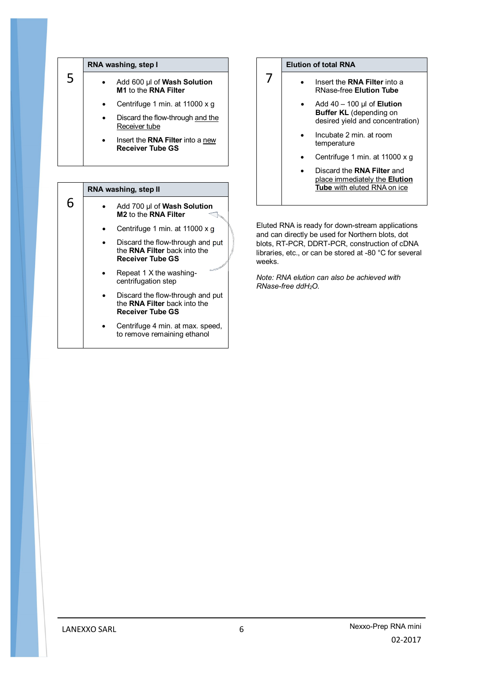|   | RNA washing, step I                                         |
|---|-------------------------------------------------------------|
| 5 | Add 600 µl of Wash Solution<br>M1 to the RNA Filter         |
|   | Centrifuge 1 min. at 11000 x g                              |
|   | Discard the flow-through and the<br>Receiver tube           |
|   | Insert the RNA Filter into a new<br><b>Receiver Tube GS</b> |

### 6 **RNA washing, step II** Add 700 µl of **Wash Solution M2** to the **RNA Filter** Centrifuge 1 min. at 11000 x g Discard the flow-through and put the **RNA Filter** back into the **Receiver Tube GS** Repeat 1 X the washingcentrifugation step Discard the flow-through and put the **RNA Filter** back into the **Receiver Tube GS** Centrifuge 4 min. at max. speed, to remove remaining ethanol

#### **Elution of total RNA**

7

- **•** Insert the **RNA Filter** into a RNase-free **Elution Tube**
	- Add 40 100 µl of **Elution Buffer KL** (depending on desired yield and concentration)
	- Incubate 2 min. at room temperature
	- Centrifuge 1 min. at 11000 x g
	- Discard the **RNA Filter** and place immediately the **Elution Tube** with eluted RNA on ice

Eluted RNA is ready for down-stream applications and can directly be used for Northern blots, dot blots, RT-PCR, DDRT-PCR, construction of cDNA libraries, etc., or can be stored at -80 °C for several weeks.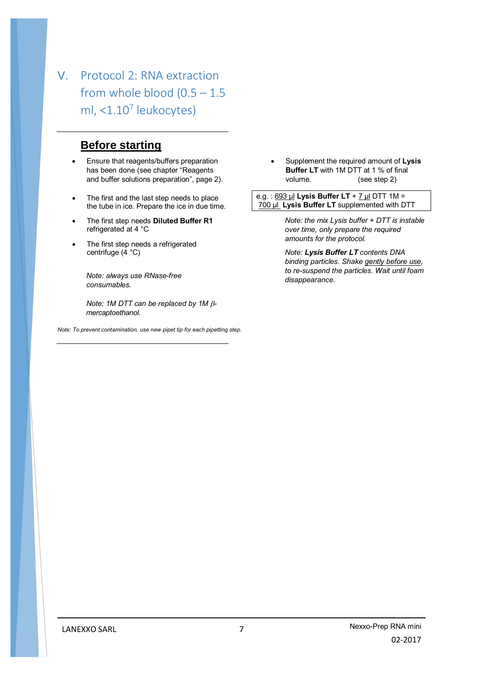# V. Protocol 2: RNA extraction from whole blood  $(0.5 - 1.5)$ ml, <1.10<sup>7</sup> leukocytes)

## **Before starting**

- Ensure that reagents/buffers preparation has been done (see chapter "Reagents and buffer solutions preparation", page 2).
- The first and the last step needs to place the tube in ice. Prepare the ice in due time.
- The first step needs **Diluted Buffer R1** refrigerated at 4 °C
- The first step needs a refrigerated centrifuge (4 °C)

*Note: always use RNase-free consumables.*

*Note: 1M DTT can be replaced by 1M*  $\beta$ *mercaptoethanol.*

*Note: To prevent contamination, use new pipet tip for each pipetting step.*

 Supplement the required amount of **Lysis Buffer LT** with 1M DTT at 1 % of final volume. (see step 2)

e.g. : 693 µl **Lysis Buffer LT** + 7 µl DTT 1M = 700 µl **Lysis Buffer LT** supplemented with DTT

> *Note: the mix Lysis buffer + DTT is instable over time, only prepare the required amounts for the protocol.*

> *Note: Lysis Buffer LT contents DNA binding particles. Shake gently before use, to re-suspend the particles. Wait until foam disappearance.*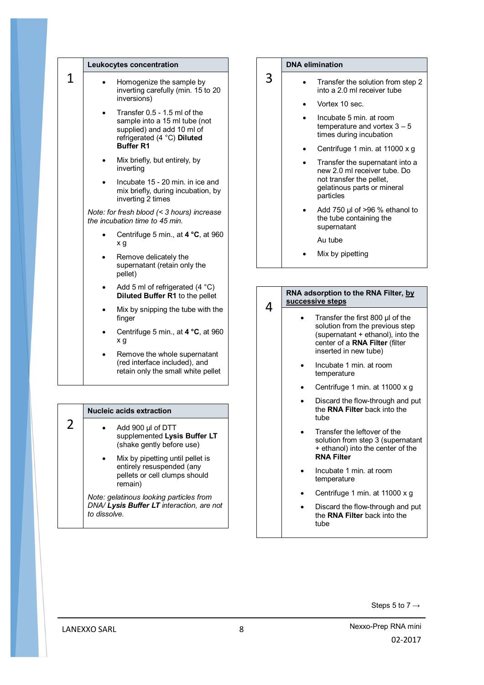|   | Leukocytes concentration                                                                                                                       |   | DN/ |
|---|------------------------------------------------------------------------------------------------------------------------------------------------|---|-----|
| 1 | Homogenize the sample by<br>inverting carefully (min. 15 to 20<br>inversions)                                                                  | 3 |     |
|   | Transfer 0.5 - 1.5 ml of the<br>sample into a 15 ml tube (not<br>supplied) and add 10 ml of<br>refrigerated (4 °C) Diluted<br><b>Buffer R1</b> |   |     |
|   | Mix briefly, but entirely, by<br>inverting                                                                                                     |   |     |
|   | Incubate 15 - 20 min. in ice and<br>mix briefly, during incubation, by<br>inverting 2 times                                                    |   |     |
|   | Note: for fresh blood (< 3 hours) increase<br>the incubation time to 45 min.                                                                   |   |     |
|   | Centrifuge 5 min., at $4^{\circ}C$ , at 960<br>x g                                                                                             |   |     |
|   | Remove delicately the<br>supernatant (retain only the<br>pellet)                                                                               |   |     |
|   | Add 5 ml of refrigerated $(4 \degree C)$<br><b>Diluted Buffer R1</b> to the pellet                                                             |   | RN/ |
|   | Mix by snipping the tube with the<br>finger                                                                                                    | 4 | suc |
|   | Centrifuge 5 min., at $4 °C$ , at 960<br>x g                                                                                                   |   |     |
|   | Remove the whole supernatant<br>(red interface included), and<br>retain only the small white pellet                                            |   |     |

| <b>Nucleic acids extraction</b>                                                                           |
|-----------------------------------------------------------------------------------------------------------|
| Add 900 µl of DTT<br>supplemented Lysis Buffer LT<br>(shake gently before use)                            |
| Mix by pipetting until pellet is<br>entirely resuspended (any<br>pellets or cell clumps should<br>remain) |
| Note: gelatinous looking particles from<br>DNA/ Lysis Buffer LT interaction, are not<br>to dissolve       |

#### **DNA elimination**

- Transfer the solution from step 2 into a 2.0 ml receiver tube
	- Vortex 10 sec.
	- Incubate 5 min. at room temperature and vortex 3 – 5 times during incubation
	- Centrifuge 1 min. at 11000 x g
	- Transfer the supernatant into a new 2.0 ml receiver tube. Do not transfer the pellet, gelatinous parts or mineral particles
	- Add 750 µl of >96 % ethanol to the tube containing the supernatant

Au tube

Mix by pipetting

#### **A** adsorption to the RNA Filter, by **successive steps**

- Transfer the first 800 µl of the solution from the previous step (supernatant + ethanol), into the center of a **RNA Filter** (filter inserted in new tube)
	- Incubate 1 min. at room temperature
	- Centrifuge 1 min. at 11000 x g
- Discard the flow-through and put the **RNA Filter** back into the tube
- Transfer the leftover of the solution from step 3 (supernatant + ethanol) into the center of the **RNA Filter**
- Incubate 1 min. at room temperature
- Centrifuge 1 min. at 11000 x g
- Discard the flow-through and put the **RNA Filter** back into the tube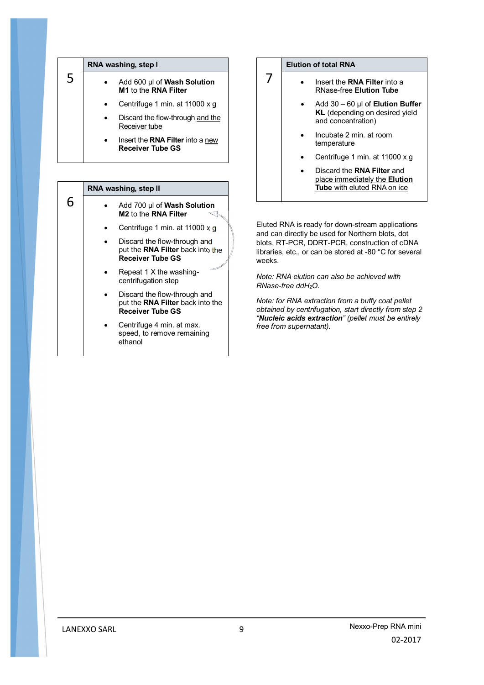|   | RNA washing, step I |                                                                    |
|---|---------------------|--------------------------------------------------------------------|
| 5 |                     | Add 600 µl of Wash Solution<br>M1 to the RNA Filter                |
|   |                     | Centrifuge 1 min. at 11000 x g                                     |
|   |                     | Discard the flow-through and the<br>Receiver tube                  |
|   |                     | Insert the <b>RNA Filter</b> into a new<br><b>Receiver Tube GS</b> |

### 6 **RNA washing, step II** Add 700 µl of **Wash Solution M2** to the **RNA Filter** Centrifuge 1 min. at 11000 x g Discard the flow-through and put the **RNA Filter** back into the **Receiver Tube GS** Repeat 1 X the washingcentrifugation step Discard the flow-through and put the **RNA Filter** back into the **Receiver Tube GS** Centrifuge 4 min. at max. speed, to remove remaining ethanol

#### **Elution of total RNA**

7

- Insert the **RNA Filter** into a RNase-free **Elution Tube**
	- Add 30 60 µl of **Elution Buffer KL** (depending on desired yield and concentration)
	- Incubate 2 min. at room temperature
	- Centrifuge 1 min. at 11000 x g
	- Discard the **RNA Filter** and place immediately the **Elution Tube** with eluted RNA on ice

Eluted RNA is ready for down-stream applications and can directly be used for Northern blots, dot blots, RT-PCR, DDRT-PCR, construction of cDNA libraries, etc., or can be stored at -80 °C for several weeks.

*Note: RNA elution can also be achieved with RNase-free ddH2O.*

*Note: for RNA extraction from a buffy coat pellet obtained by centrifugation, start directly from step 2 "Nucleic acids extraction" (pellet must be entirely free from supernatant).*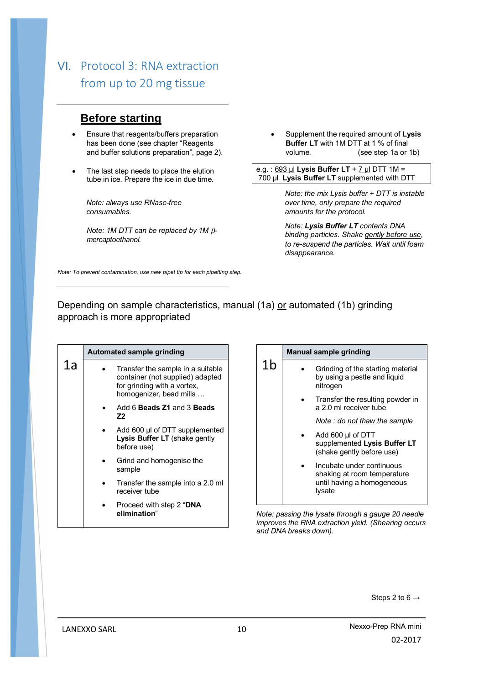## VI. Protocol 3: RNA extraction from up to 20 mg tissue

## **Before starting**

- Ensure that reagents/buffers preparation has been done (see chapter "Reagents and buffer solutions preparation", page 2).
- The last step needs to place the elution tube in ice. Prepare the ice in due time.

*Note: always use RNase-free consumables.*

*Note: 1M DTT can be replaced by 1M mercaptoethanol.*

 Supplement the required amount of **Lysis Buffer LT** with 1M DTT at 1 % of final volume. (see step 1a or 1b)

e.g. : 693 µl **Lysis Buffer LT** + 7 µl DTT 1M = 700 µl **Lysis Buffer LT** supplemented with DTT

> *Note: the mix Lysis buffer + DTT is instable over time, only prepare the required amounts for the protocol.*

> *Note: Lysis Buffer LT contents DNA binding particles. Shake gently before use, to re-suspend the particles. Wait until foam disappearance.*

*Note: To prevent contamination, use new pipet tip for each pipetting step.*

Depending on sample characteristics, manual (1a) or automated (1b) grinding approach is more appropriated

|    | Automated sample grinding                                                                                                       |  |
|----|---------------------------------------------------------------------------------------------------------------------------------|--|
| 1a | Transfer the sample in a suitable<br>container (not supplied) adapted<br>for grinding with a vortex,<br>homogenizer, bead mills |  |
|    | Add 6 Beads Z1 and 3 Beads<br>Z <sub>2</sub>                                                                                    |  |
|    | Add 600 µl of DTT supplemented<br>Lysis Buffer LT (shake gently<br>before use)                                                  |  |
|    | Grind and homogenise the<br>sample                                                                                              |  |
|    | Transfer the sample into a 2.0 ml<br>receiver tube                                                                              |  |
|    | Proceed with step 2 "DNA<br>elimination"                                                                                        |  |

|    | <b>Manual sample grinding</b>                                                                    |
|----|--------------------------------------------------------------------------------------------------|
| 1b | Grinding of the starting material<br>by using a pestle and liquid<br>nitrogen                    |
|    | Transfer the resulting powder in<br>a 2.0 ml receiver tube                                       |
|    | Note : do not thaw the sample                                                                    |
|    | Add 600 µl of DTT<br>supplemented Lysis Buffer LT<br>(shake gently before use)                   |
|    | Incubate under continuous<br>shaking at room temperature<br>until having a homogeneous<br>Iysate |

*Note: passing the lysate through a gauge 20 needle improves the RNA extraction yield. (Shearing occurs and DNA breaks down).*

Steps 2 to  $6 \rightarrow$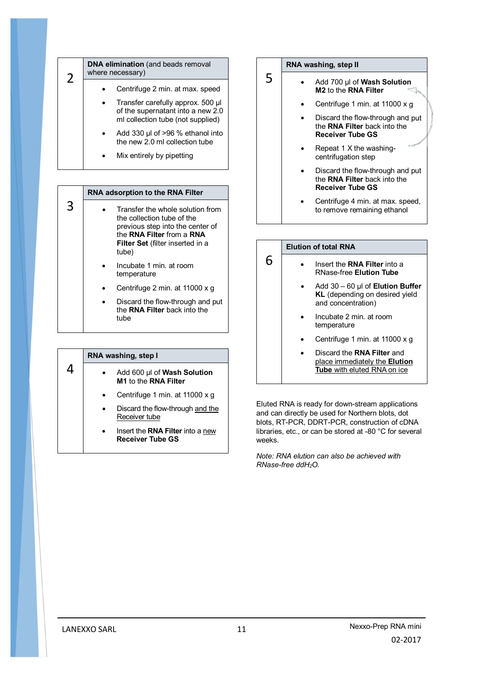| 2 | <b>DNA elimination</b> (and beads removal<br>where necessary)                                               |
|---|-------------------------------------------------------------------------------------------------------------|
|   | Centrifuge 2 min. at max. speed                                                                             |
|   | Transfer carefully approx. 500 µl<br>of the supernatant into a new 2.0<br>ml collection tube (not supplied) |
|   | Add 330 $\mu$ l of >96 % ethanol into<br>the new 2.0 ml collection tube                                     |
|   | Mix entirely by pipetting                                                                                   |

|   | <b>RNA adsorption to the RNA Filter</b>                                                                                                                                             |
|---|-------------------------------------------------------------------------------------------------------------------------------------------------------------------------------------|
| 3 | Transfer the whole solution from<br>the collection tube of the<br>previous step into the center of<br>the RNA Filter from a RNA<br><b>Filter Set (filter inserted in a</b><br>tube) |
|   | Incubate 1 min. at room<br>temperature                                                                                                                                              |
|   | Centrifuge 2 min. at 11000 x g                                                                                                                                                      |
|   | Discard the flow-through and put<br>the RNA Filter back into the<br>tube                                                                                                            |

| RNA washing, step I |  |                                                                    |
|---------------------|--|--------------------------------------------------------------------|
|                     |  | Add 600 µl of Wash Solution<br>M1 to the RNA Filter                |
|                     |  | Centrifuge 1 min. at 11000 x q                                     |
|                     |  | Discard the flow-through and the<br>Receiver tube                  |
|                     |  | Insert the <b>RNA Filter</b> into a new<br><b>Receiver Tube GS</b> |



5

6

- Add 700 µl of **Wash Solution M2** to the **RNA Filter**
	- Centrifuge 1 min. at 11000 x g
	- Discard the flow-through and put the **RNA Filter** back into the **Receiver Tube GS**
	- Repeat 1 X the washingcentrifugation step
	- Discard the flow-through and put the **RNA Filter** back into the **Receiver Tube GS**
	- Centrifuge 4 min. at max. speed, to remove remaining ethanol

#### **Elution of total RNA**

- Insert the **RNA Filter** into a RNase-free **Elution Tube**
- Add 30 60 µl of **Elution Buffer KL** (depending on desired yield and concentration)
- Incubate 2 min. at room temperature
- Centrifuge 1 min. at 11000 x g
- Discard the **RNA Filter** and place immediately the **Elution Tube** with eluted RNA on ice

Eluted RNA is ready for down-stream applications and can directly be used for Northern blots, dot blots, RT-PCR, DDRT-PCR, construction of cDNA libraries, etc., or can be stored at -80 °C for several weeks.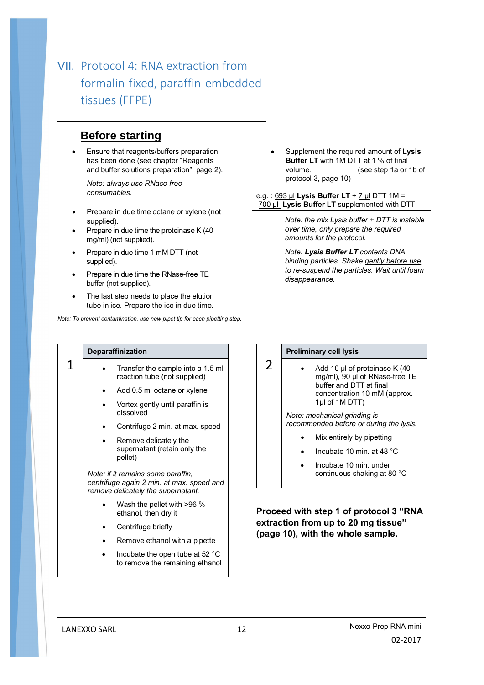# VII. Protocol 4: RNA extraction from formalin-fixed, paraffin-embedded tissues (FFPE)

## **Before starting**

 Ensure that reagents/buffers preparation has been done (see chapter "Reagents and buffer solutions preparation", page 2).

*Note: always use RNase-free consumables.*

- Prepare in due time octane or xylene (not supplied).
- Prepare in due time the proteinase K (40 mg/ml) (not supplied).
- Prepare in due time 1 mM DTT (not supplied).
- Prepare in due time the RNase-free TE buffer (not supplied).
- The last step needs to place the elution tube in ice. Prepare the ice in due time.

*Note: To prevent contamination, use new pipet tip for each pipetting step.*

 Supplement the required amount of **Lysis Buffer LT** with 1M DTT at 1 % of final volume. (see step 1a or 1b of protocol 3, page 10)

e.g. : 693 µl **Lysis Buffer LT** + 7 µl DTT 1M = 700 µl **Lysis Buffer LT** supplemented with DTT

> *Note: the mix Lysis buffer + DTT is instable over time, only prepare the required amounts for the protocol.*

> *Note: Lysis Buffer LT contents DNA binding particles. Shake gently before use, to re-suspend the particles. Wait until foam disappearance.*

|   | <b>Deparaffinization</b>                                                                                              |  |
|---|-----------------------------------------------------------------------------------------------------------------------|--|
| 1 | Transfer the sample into a 1.5 ml<br>reaction tube (not supplied)                                                     |  |
|   | Add 0.5 ml octane or xylene                                                                                           |  |
|   | Vortex gently until paraffin is<br>dissolved                                                                          |  |
|   | Centrifuge 2 min. at max. speed                                                                                       |  |
|   | Remove delicately the<br>supernatant (retain only the<br>pellet)                                                      |  |
|   | Note: if it remains some paraffin,<br>centrifuge again 2 min. at max. speed and<br>remove delicately the supernatant. |  |
|   | Wash the pellet with >96 %<br>ethanol, then dry it                                                                    |  |
|   | Centrifuge briefly                                                                                                    |  |
|   | Remove ethanol with a pipette                                                                                         |  |
|   |                                                                                                                       |  |

 Incubate the open tube at 52 °C to remove the remaining ethanol

#### **Preliminary cell lysis**

2

Add 10 µl of proteinase K (40 mg/ml), 90 µl of RNase-free TE buffer and DTT at final concentration 10 mM (approx. 1µl of 1M DTT)

*Note: mechanical grinding is recommended before or during the lysis.*

- Mix entirely by pipetting
- Incubate 10 min. at 48 °C
- Incubate 10 min. under continuous shaking at 80 °C

**Proceed with step 1 of protocol 3 "RNA extraction from up to 20 mg tissue" (page 10), with the whole sample.**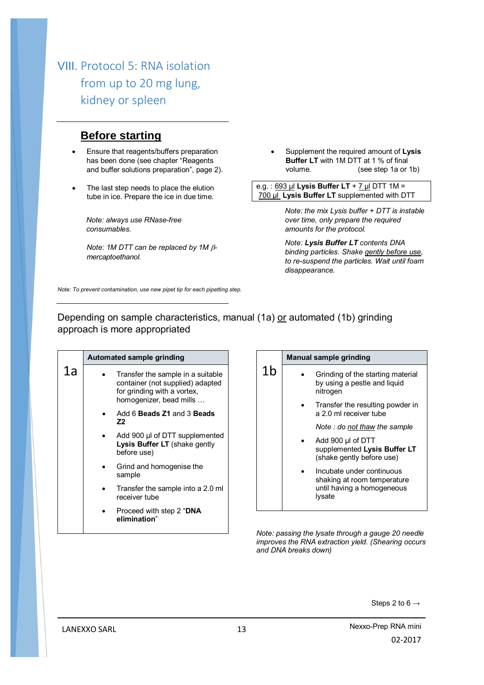## VIII. Protocol 5: RNA isolation from up to 20 mg lung, kidney or spleen

### **Before starting**

- Ensure that reagents/buffers preparation has been done (see chapter "Reagents and buffer solutions preparation", page 2).
- The last step needs to place the elution tube in ice. Prepare the ice in due time.

*Note: always use RNase-free consumables.*

*Note: 1M DTT can be replaced by 1M mercaptoethanol.*

 Supplement the required amount of **Lysis Buffer LT** with 1M DTT at 1 % of final volume. (see step 1a or 1b)

e.g. : 693 µl **Lysis Buffer LT** + 7 µl DTT 1M = 700 µl **Lysis Buffer LT** supplemented with DTT

> *Note: the mix Lysis buffer + DTT is instable over time, only prepare the required amounts for the protocol.*

> *Note: Lysis Buffer LT contents DNA binding particles. Shake gently before use, to re-suspend the particles. Wait until foam disappearance.*

*Note: To prevent contamination, use new pipet tip for each pipetting step.*

Depending on sample characteristics, manual (1a) or automated (1b) grinding approach is more appropriated

|    | Automated sample grinding                                                                                                       |         |
|----|---------------------------------------------------------------------------------------------------------------------------------|---------|
| 1a | Transfer the sample in a suitable<br>container (not supplied) adapted<br>for grinding with a vortex,<br>homogenizer, bead mills |         |
|    | Add 6 Beads Z1 and 3 Beads<br>Z2                                                                                                |         |
|    | Add 900 µl of DTT supplemented<br>Lysis Buffer LT (shake gently<br>before use)                                                  |         |
|    | Grind and homogenise the<br>sample                                                                                              |         |
|    | Transfer the sample into a 2.0 ml<br>receiver tube                                                                              |         |
|    | Proceed with step 2 "DNA<br>elimination"                                                                                        |         |
|    |                                                                                                                                 | $N = 1$ |

|    | <b>Manual sample grinding</b>                                                                    |  |  |  |
|----|--------------------------------------------------------------------------------------------------|--|--|--|
| 1b | Grinding of the starting material<br>by using a pestle and liquid<br>nitrogen                    |  |  |  |
|    | Transfer the resulting powder in<br>a 2.0 ml receiver tube                                       |  |  |  |
|    | Note : do not thaw the sample                                                                    |  |  |  |
|    | Add 900 µl of DTT<br>supplemented Lysis Buffer LT<br>(shake gently before use)                   |  |  |  |
|    | Incubate under continuous<br>shaking at room temperature<br>until having a homogeneous<br>Iysate |  |  |  |

*Note: passing the lysate through a gauge 20 needle improves the RNA extraction yield. (Shearing occurs and DNA breaks down)*

Steps 2 to  $6 \rightarrow$ 

LANEXXO SARL 13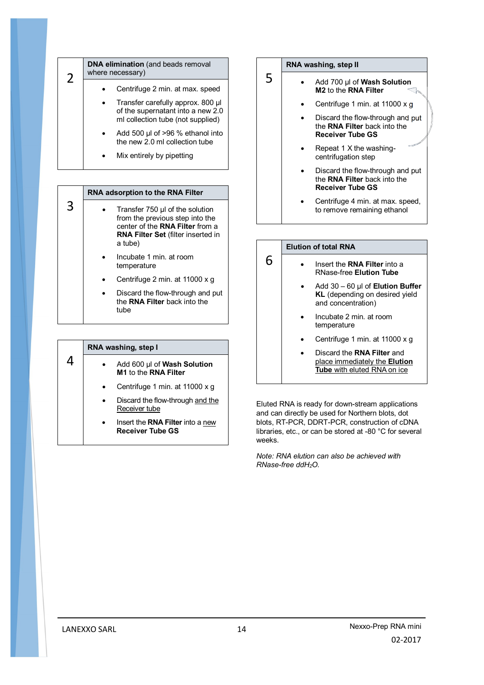| 2 | <b>DNA elimination</b> (and beads removal<br>where necessary) |                                                                                                             |
|---|---------------------------------------------------------------|-------------------------------------------------------------------------------------------------------------|
|   |                                                               | Centrifuge 2 min. at max. speed                                                                             |
|   |                                                               | Transfer carefully approx. 800 µl<br>of the supernatant into a new 2.0<br>ml collection tube (not supplied) |
|   |                                                               | Add 500 $\mu$ l of >96 % ethanol into<br>the new 2.0 ml collection tube                                     |
|   |                                                               | Mix entirely by pipetting                                                                                   |

|   | <b>RNA adsorption to the RNA Filter</b>                                                                                                                       |  |  |
|---|---------------------------------------------------------------------------------------------------------------------------------------------------------------|--|--|
| 3 | Transfer 750 µl of the solution<br>from the previous step into the<br>center of the RNA Filter from a<br><b>RNA Filter Set (filter inserted in</b><br>a tube) |  |  |
|   | Incubate 1 min. at room<br>temperature                                                                                                                        |  |  |
|   | Centrifuge 2 min. at 11000 x q                                                                                                                                |  |  |
|   | Discard the flow-through and put<br>the RNA Filter back into the<br>tube                                                                                      |  |  |

|   |  | RNA washing, step I                                                |  |  |  |
|---|--|--------------------------------------------------------------------|--|--|--|
| Δ |  | Add 600 µl of Wash Solution<br>M1 to the RNA Filter                |  |  |  |
|   |  | Centrifuge 1 min. at 11000 x q                                     |  |  |  |
|   |  | Discard the flow-through and the<br>Receiver tube                  |  |  |  |
|   |  | Insert the <b>RNA Filter</b> into a new<br><b>Receiver Tube GS</b> |  |  |  |



5

6

- Add 700 µl of **Wash Solution M2** to the **RNA Filter**
	- Centrifuge 1 min. at 11000 x g
	- Discard the flow-through and put the **RNA Filter** back into the **Receiver Tube GS**
	- Repeat 1 X the washingcentrifugation step
	- Discard the flow-through and put the **RNA Filter** back into the **Receiver Tube GS**
	- Centrifuge 4 min. at max. speed, to remove remaining ethanol

#### **Elution of total RNA**

- Insert the **RNA Filter** into a RNase-free **Elution Tube**
	- Add 30 60 µl of **Elution Buffer KL** (depending on desired yield and concentration)
	- Incubate 2 min. at room temperature
	- Centrifuge 1 min. at 11000 x g
	- Discard the **RNA Filter** and place immediately the **Elution Tube** with eluted RNA on ice

Eluted RNA is ready for down-stream applications and can directly be used for Northern blots, dot blots, RT-PCR, DDRT-PCR, construction of cDNA libraries, etc., or can be stored at -80 °C for several weeks.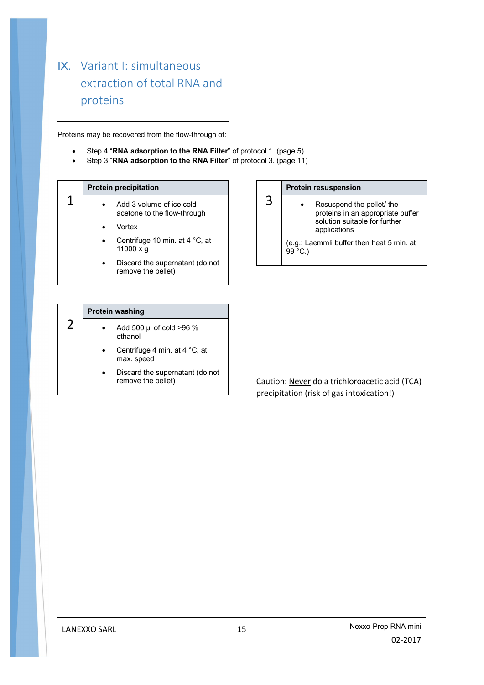# IX. Variant I: simultaneous extraction of total RNA and proteins

Proteins may be recovered from the flow-through of:

- Step 4 "**RNA adsorption to the RNA Filter**" of protocol 1. (page 5)
- Step 3 "**RNA adsorption to the RNA Filter**" of protocol 3. (page 11)

#### 1 **Protein precipitation**  Add 3 volume of ice cold acetone to the flow-through Vortex

- Centrifuge 10 min. at 4 °C, at 11000 x g
- Discard the supernatant (do not remove the pellet)

#### **Protein resuspension**

3

 Resuspend the pellet/ the proteins in an appropriate buffer solution suitable for further applications

(e.g.: Laemmli buffer then heat 5 min. at 99 °C.)

|                                                 | <b>Protein washing</b>                                |  |
|-------------------------------------------------|-------------------------------------------------------|--|
| $\prime$<br>Add 500 µl of cold >96 %<br>ethanol |                                                       |  |
|                                                 | Centrifuge 4 min. at 4 °C, at<br>max. speed           |  |
|                                                 | Discard the supernatant (do not<br>remove the pellet) |  |

Caution: Never do a trichloroacetic acid (TCA) precipitation (risk of gas intoxication!)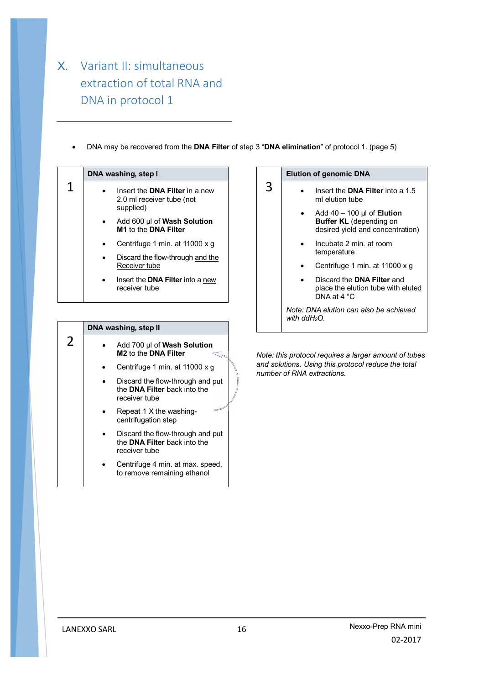# X. Variant II: simultaneous extraction of total RNA and DNA in protocol 1

DNA may be recovered from the **DNA Filter** of step 3 "**DNA elimination**" of protocol 1. (page 5)

3

|   | DNA washing, step I |                                                                                 |
|---|---------------------|---------------------------------------------------------------------------------|
| 1 |                     | Insert the <b>DNA Filter</b> in a new<br>2.0 ml receiver tube (not<br>supplied) |
|   |                     | Add 600 µl of Wash Solution<br>M1 to the DNA Filter                             |
|   |                     | Centrifuge 1 min. at 11000 x q                                                  |
|   |                     | Discard the flow-through and the<br>Receiver tube                               |
|   |                     | 11 A. Milána internació<br>n - - - - + + - - D                                  |

Insert the **DNA Filter** into a new receiver tube

|               | DNA washing, step II                                                                     |
|---------------|------------------------------------------------------------------------------------------|
| $\mathcal{P}$ | Add 700 µl of Wash Solution<br>M <sub>2</sub> to the DNA Filter                          |
|               | Centrifuge 1 min. at 11000 x g                                                           |
|               | Discard the flow-through and put<br>the <b>DNA Filter</b> back into the<br>receiver tube |
|               | Repeat 1 X the washing-<br>centrifugation step                                           |
|               | Discard the flow-through and put<br>the DNA Filter back into the<br>receiver tube        |
|               | Centrifuge 4 min. at max. speed,<br>to remove remaining ethanol                          |

#### **Elution of genomic DNA**

- **•** Insert the **DNA Filter** into a 1.5 ml elution tube
	- Add 40 100 µl of **Elution Buffer KL** (depending on desired yield and concentration)
	- Incubate 2 min. at room temperature
	- Centrifuge 1 min. at 11000 x g
	- Discard the **DNA Filter** and place the elution tube with eluted DNA at 4 °C

*Note: DNA elution can also be achieved with ddH2O.*

*Note: this protocol requires a larger amount of tubes and solutions. Using this protocol reduce the total number of RNA extractions.*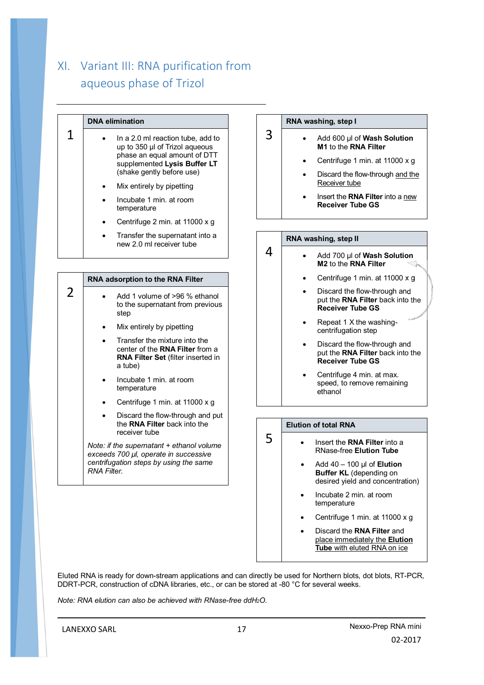# XI. Variant III: RNA purification from aqueous phase of Trizol

|                                                                                                                                             | <b>DNA</b> elimination                                                                                                                                                                                                                                                                                                        |   | RNA washing, step I                                                                                                                                                                                                                 |
|---------------------------------------------------------------------------------------------------------------------------------------------|-------------------------------------------------------------------------------------------------------------------------------------------------------------------------------------------------------------------------------------------------------------------------------------------------------------------------------|---|-------------------------------------------------------------------------------------------------------------------------------------------------------------------------------------------------------------------------------------|
| 1                                                                                                                                           | In a 2.0 ml reaction tube, add to<br>$\bullet$<br>up to 350 µl of Trizol aqueous<br>phase an equal amount of DTT<br>supplemented Lysis Buffer LT<br>(shake gently before use)<br>Mix entirely by pipetting<br>$\bullet$<br>Incubate 1 min. at room<br>$\bullet$<br>temperature<br>Centrifuge 2 min. at 11000 x g<br>$\bullet$ | 3 | Add 600 µl of Wash Solution<br>M1 to the RNA Filter<br>Centrifuge 1 min. at 11000 x g<br>$\bullet$<br>Discard the flow-through and the<br>$\bullet$<br>Receiver tube<br>Insert the RNA Filter into a new<br><b>Receiver Tube GS</b> |
|                                                                                                                                             | Transfer the supernatant into a<br>$\bullet$                                                                                                                                                                                                                                                                                  |   | RNA washing, step II                                                                                                                                                                                                                |
|                                                                                                                                             | new 2.0 ml receiver tube                                                                                                                                                                                                                                                                                                      | 4 | Add 700 µl of Wash Solution<br>M2 to the RNA Filter                                                                                                                                                                                 |
|                                                                                                                                             | RNA adsorption to the RNA Filter                                                                                                                                                                                                                                                                                              |   | Centrifuge 1 min. at 11000 x g<br>٠                                                                                                                                                                                                 |
| 2                                                                                                                                           | Add 1 volume of >96 % ethanol<br>$\bullet$<br>to the supernatant from previous<br>step                                                                                                                                                                                                                                        |   | Discard the flow-through and<br>$\bullet$<br>put the RNA Filter back into the<br><b>Receiver Tube GS</b>                                                                                                                            |
|                                                                                                                                             | Mix entirely by pipetting<br>$\bullet$                                                                                                                                                                                                                                                                                        |   | Repeat 1 X the washing-<br>$\bullet$<br>centrifugation step                                                                                                                                                                         |
|                                                                                                                                             | Transfer the mixture into the<br>$\bullet$<br>center of the RNA Filter from a<br>RNA Filter Set (filter inserted in<br>a tube)                                                                                                                                                                                                |   | Discard the flow-through and<br>$\bullet$<br>put the RNA Filter back into the<br><b>Receiver Tube GS</b>                                                                                                                            |
|                                                                                                                                             | Incubate 1 min. at room<br>$\bullet$<br>temperature                                                                                                                                                                                                                                                                           |   | Centrifuge 4 min. at max.<br>٠<br>speed, to remove remaining<br>ethanol                                                                                                                                                             |
|                                                                                                                                             | Centrifuge 1 min. at 11000 x g<br>$\bullet$                                                                                                                                                                                                                                                                                   |   |                                                                                                                                                                                                                                     |
|                                                                                                                                             | Discard the flow-through and put<br>$\bullet$<br>the RNA Filter back into the<br>receiver tube                                                                                                                                                                                                                                |   | <b>Elution of total RNA</b>                                                                                                                                                                                                         |
| Note: if the supernatant + ethanol volume<br>exceeds 700 µl, operate in successive<br>centrifugation steps by using the same<br>RNA Filter. |                                                                                                                                                                                                                                                                                                                               | 5 | Insert the RNA Filter into a<br>$\bullet$<br><b>RNase-free Elution Tube</b><br>Add $40 - 100$ µl of <b>Elution</b><br><b>Buffer KL</b> (depending on                                                                                |

Eluted RNA is ready for down-stream applications and can directly be used for Northern blots, dot blots, RT-PCR, DDRT-PCR, construction of cDNA libraries, etc., or can be stored at -80 °C for several weeks.

*Note: RNA elution can also be achieved with RNase-free ddH2O.*

desired yield and concentration)

 Centrifuge 1 min. at 11000 x g Discard the **RNA Filter** and place immediately the **Elution Tube** with eluted RNA on ice

Incubate 2 min. at room

temperature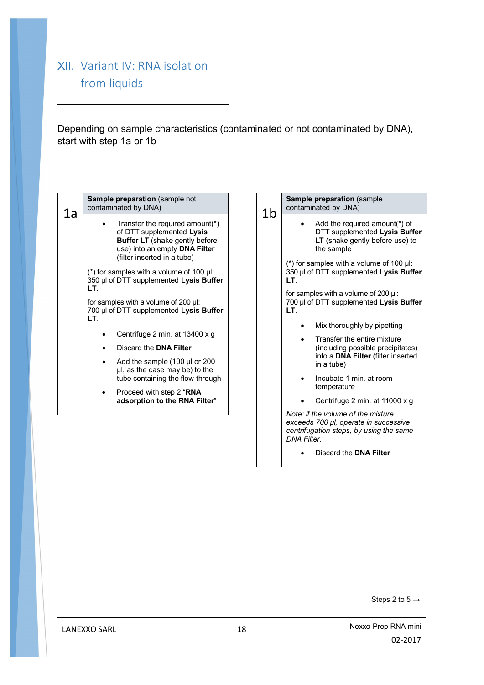## XII. Variant IV: RNA isolation from liquids

Depending on sample characteristics (contaminated or not contaminated by DNA), start with step 1a or 1b

| 1a | Sample preparation (sample not<br>contaminated by DNA)                                                                                                                                                                                          | 1b | Sample preparation (sample<br>contaminated by DNA)                                                                                                                                                                                                                                                             |
|----|-------------------------------------------------------------------------------------------------------------------------------------------------------------------------------------------------------------------------------------------------|----|----------------------------------------------------------------------------------------------------------------------------------------------------------------------------------------------------------------------------------------------------------------------------------------------------------------|
|    | Transfer the required amount(*)<br>$\bullet$<br>of DTT supplemented Lysis<br><b>Buffer LT</b> (shake gently before<br>use) into an empty DNA Filter<br>(filter inserted in a tube)                                                              |    | Add the required amount(*) of<br>DTT supplemented Lysis Buffer<br>LT (shake gently before use) to<br>the sample                                                                                                                                                                                                |
|    | (*) for samples with a volume of 100 µl:<br>350 µl of DTT supplemented Lysis Buffer<br>LT.                                                                                                                                                      |    | (*) for samples with a volume of 100 $\mu$ I:<br>350 µl of DTT supplemented Lysis Buffer<br>LT.<br>for samples with a volume of 200 µl:                                                                                                                                                                        |
|    | for samples with a volume of 200 µl:<br>700 µl of DTT supplemented Lysis Buffer                                                                                                                                                                 |    | 700 µl of DTT supplemented Lysis Buffer<br>LT.                                                                                                                                                                                                                                                                 |
|    | LT.<br>Centrifuge 2 min. at 13400 x q<br>Discard the <b>DNA Filter</b><br>Add the sample (100 µl or 200<br>µl, as the case may be) to the<br>tube containing the flow-through<br>Proceed with step 2 "RNA<br>٠<br>adsorption to the RNA Filter" |    | Mix thoroughly by pipetting<br>Transfer the entire mixture<br>(including possible precipitates)<br>into a DNA Filter (filter inserted<br>in a tube)<br>Incubate 1 min. at room<br>temperature<br>Centrifuge 2 min. at 11000 x g<br>Note: if the volume of the mixture<br>exceeds 700 µl, operate in successive |
|    |                                                                                                                                                                                                                                                 |    | centrifugation steps, by using the same<br><b>DNA Filter.</b><br>Discard the <b>DNA Filter</b>                                                                                                                                                                                                                 |

Steps 2 to  $5 \rightarrow$